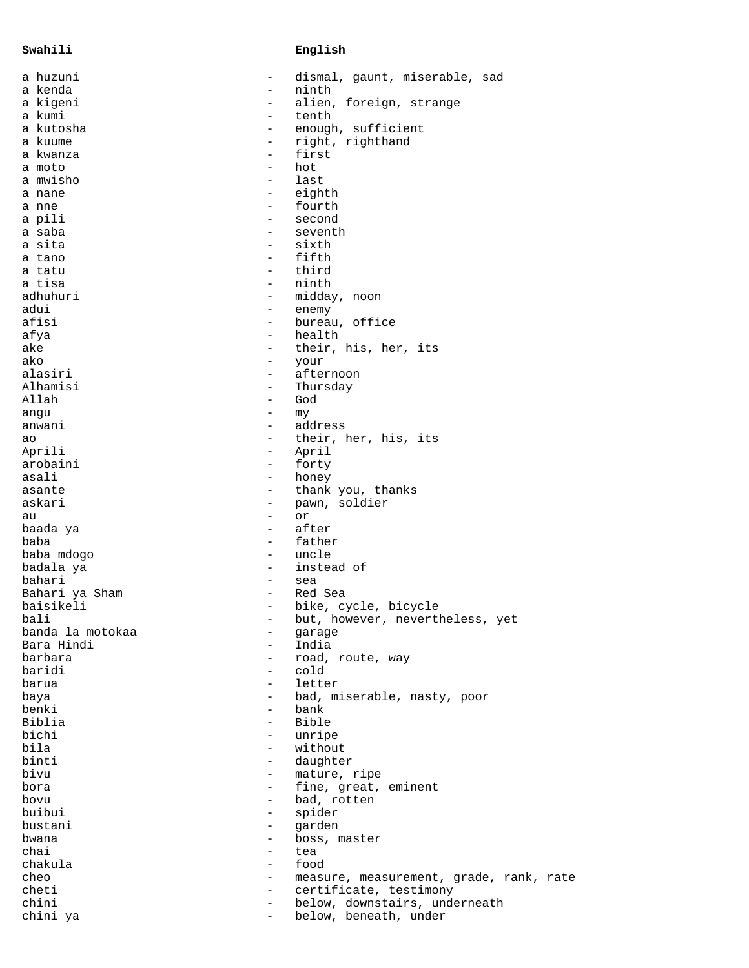## **Swahili English**

| a huzuni         | $\qquad \qquad -$                                    | dismal, gaunt, miserable, sad           |
|------------------|------------------------------------------------------|-----------------------------------------|
| a kenda          | $\overline{\phantom{m}}$                             | ninth                                   |
| a kigeni         | $\overline{\phantom{m}}$                             | alien, foreign, strange                 |
| a kumi           | $\overline{\phantom{m}}$                             | tenth                                   |
| a kutosha        | $\qquad \qquad -$                                    | enough, sufficient                      |
| a kuume          | $\overline{\phantom{0}}$                             | right, righthand                        |
| a kwanza         | $\overline{\phantom{m}}$                             | first                                   |
| a moto           | $\overline{\phantom{m}}$                             | hot                                     |
| a mwisho         |                                                      | last                                    |
| a nane           | $\overline{\phantom{a}}$                             | eighth<br>fourth                        |
| a nne            | $\overline{\phantom{a}}$<br>$\overline{\phantom{a}}$ |                                         |
| a pili<br>a saba |                                                      | second<br>seventh                       |
| a sita           | $\qquad \qquad -$                                    | sixth                                   |
| a tano           | $\overline{\phantom{a}}$                             | fifth                                   |
| a tatu           | $\overline{\phantom{0}}$                             | third                                   |
| a tisa           | $\qquad \qquad -$                                    | ninth                                   |
| adhuhuri         | $\overline{\phantom{a}}$                             | midday, noon                            |
| adui             | $\overline{\phantom{a}}$                             | enemy                                   |
| afisi            | $\overline{\phantom{a}}$                             | bureau, office                          |
| afya             | $\overline{\phantom{a}}$                             | health                                  |
| ake              | $\overline{\phantom{0}}$                             | their, his, her, its                    |
| ako              | $\overline{\phantom{a}}$                             | your                                    |
| alasiri          | $\overline{\phantom{a}}$                             | afternoon                               |
| Alhamisi         | $\qquad \qquad -$                                    | Thursday                                |
| Allah            | $\overline{\phantom{0}}$                             | God                                     |
| angu             | $\overline{\phantom{m}}$                             | my                                      |
| anwani           | $\overline{\phantom{a}}$                             | address                                 |
| ao               | $\overline{\phantom{0}}$                             | their, her, his, its                    |
| Aprili           | $\overline{\phantom{0}}$                             | April                                   |
| arobaini         | $\overline{\phantom{0}}$                             | forty                                   |
| asali            | $\overline{\phantom{0}}$                             | honey                                   |
| asante           | $\overline{\phantom{0}}$                             | thank you, thanks                       |
| askari           | $\overline{\phantom{m}}$                             | pawn, soldier                           |
| au               | $\qquad \qquad -$                                    | or                                      |
| baada ya         | $\overline{\phantom{0}}$                             | after                                   |
| baba             | $\overline{\phantom{a}}$                             | father                                  |
| baba mdogo       | $\overline{\phantom{a}}$                             | uncle                                   |
| badala ya        | $\overline{\phantom{a}}$                             | instead of                              |
| bahari           | $\overline{\phantom{m}}$                             | sea                                     |
| Bahari ya Sham   | $\overline{\phantom{a}}$                             | Red Sea                                 |
| baisikeli        | $\qquad \qquad -$                                    | bike, cycle, bicycle                    |
| bali             |                                                      | but, however, nevertheless, yet         |
| banda la motokaa | $\overline{\phantom{m}}$                             | garage                                  |
| Bara Hindi       | $\overline{\phantom{a}}$                             | India                                   |
| barbara          | $\overline{\phantom{0}}$                             | road, route, way                        |
| baridi           | $\overline{\phantom{0}}$                             | cold                                    |
| barua            | $\overline{\phantom{m}}$                             | letter                                  |
| baya             | $-$                                                  | bad, miserable, nasty, poor             |
| benki            | $\overline{\phantom{a}}$                             | bank                                    |
| Biblia           | $\overline{\phantom{0}}$                             | Bible                                   |
| bichi            | $\overline{\phantom{0}}$                             | unripe                                  |
| bila             | $\overline{\phantom{0}}$                             | without                                 |
| binti            | $\overline{\phantom{a}}$                             | daughter                                |
| bivu             | $\overline{\phantom{0}}$                             | mature, ripe                            |
| bora             | $\overline{\phantom{0}}$                             | fine, great, eminent                    |
| bovu             | $-$                                                  | bad, rotten                             |
| buibui           | $\overline{\phantom{a}}$                             | spider                                  |
| bustani          | $\overline{\phantom{a}}$                             | garden                                  |
| bwana            | $\overline{\phantom{0}}$                             | boss, master                            |
| chai             | $\overline{\phantom{a}}$                             | tea                                     |
| chakula          | $\overline{\phantom{0}}$                             | food                                    |
| cheo             | $\overline{\phantom{0}}$                             | measure, measurement, grade, rank, rate |
| cheti            | $\overline{\phantom{0}}$                             | certificate, testimony                  |
| chini            | $\equiv$                                             | below, downstairs, underneath           |
| chini ya         | $\overline{\phantom{0}}$                             | below, beneath, under                   |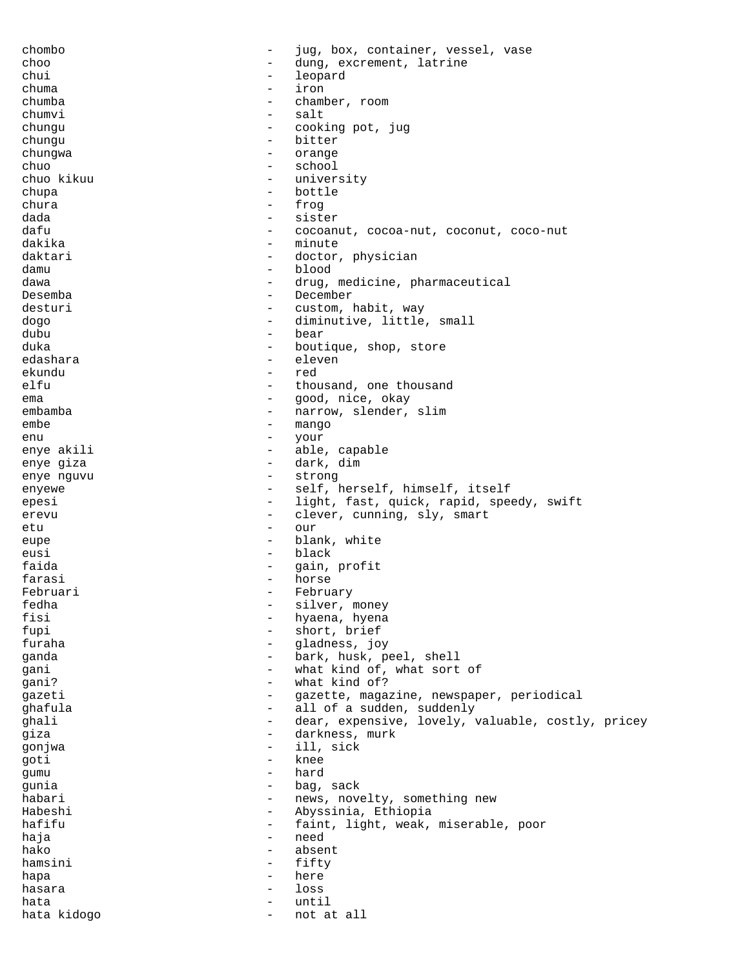chombo - jug, box, container, vessel, vase choo - dung, excrement, latrine chui - leopard chuma - iron chamber, room chumvi - salt<br>chungu - cook chungu - cooking pot, jug<br>
- cooking pot, jug<br>
- hitter chungu - bitter chungwa - orange chuo - school<br>chuo kikuu - univer chuo kikuu - university - university - university - university - university chupa - bottle<br>
chura - frog chura - frog dada - sister dafu - cocoanut, cocoa-nut, coconut, coconut, coco-nut dakika - minute daktari - doctor, physician damu - blood dawa - drug, medicine, pharmaceutical<br>Desemba Desemba - December<br>desturi - Customal desturi - custom, habit, way dogo - diminutive, little, small<br>dubu dubu - bear - boutique, shop, store<br>- eleven edashara - eleven ekundu - red elfu - thousand, one thousand<br>ema ema - good, nice, okay embamba - narrow, slender, slim embe - mango enu - your - able, capable<br>- dark dim enye giza - dark, dim enye nguvu  $-$  strong enyewe - self, herself, himself, itself epesi - light, fast, quick, rapid, speedy, swift erevu - clever, cunning, sly, smart<br>
- our etu - our eupe - blank, white eusi - black faida  $-$  gain, profit farasi - horse Februari - February - February<br>fedha - Silver fedha - silver, money hyaena, hyena fupi - short, brief<br>furaba - short, brief furaha - gladness, joy ganda - bark, husk, peel, shell gani - what kind of, what sort of cani? qani?  $\qquad \qquad -$  what kind of? gazeti  $-$  gazette, magazine, newspaper, periodical ghafula - all of a sudden, suddenly ghali  $-$  dear, expensive, lovely, valuable, costly, pricey giza - darkness, murk gonjwa - ill, sick goti - knee gumu - hard gunia  $-$  bag, sack habari - news, novelty, something new Habeshi - Abyssinia, Ethiopia hafifu - faint, light, weak, miserable, poor<br>hais haja - need hako - absent hamsini - fifty hapa - here - here - here - here - here - here - here - here - here - here - here - here - here - here - here - here - here - here - here - here - here - here - here - here - here - here - here - here - here - here - here hasara - loss hata - until hata kidogo  $-$  not at all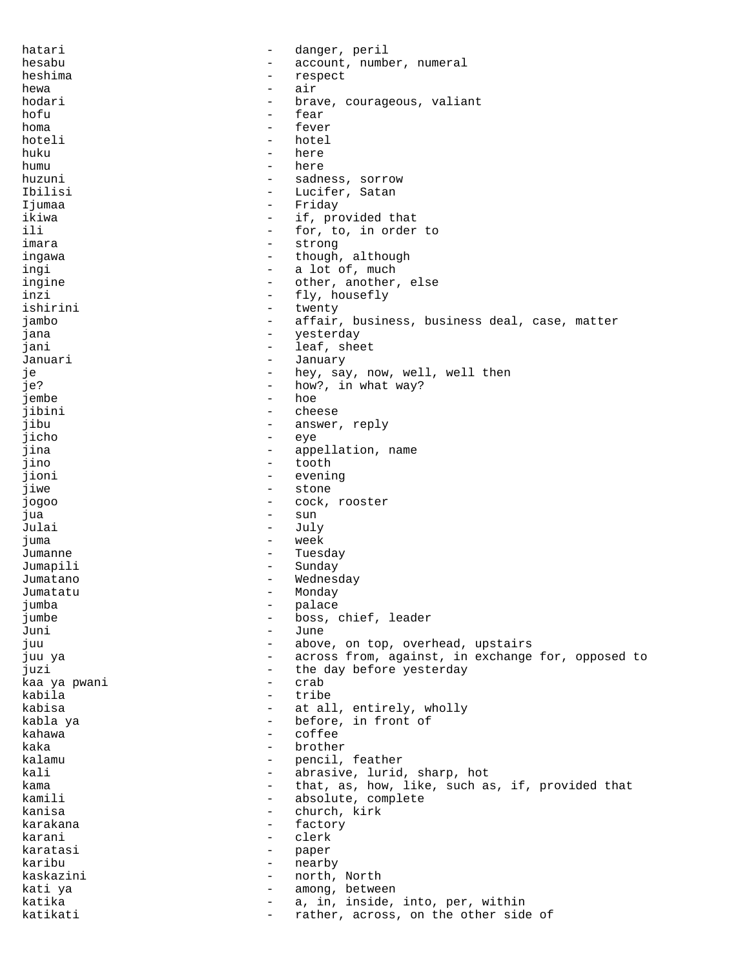hatari  $-$  danger, peril hesabu - account, number, numeral heshima - respect hewa - air hodari  $-$  brave, courageous, valiant hofu - fear<br>homa - fear homa - fever<br>hoteli - hotel hoteli - hotel huku - here - here - here - here - here - here - here - here - here - here - here - here - here - h humu - here huzuni - sadness, sorrow Ibilisi - Lucifer, Satan Ijumaa - Friday ikiwa  $-$  if, provided that ili - for, to, in order to imara - strong ingawa  $\qquad \qquad -$  though, although ingi - a lot of, much<br>ingine - a lot of much - and her ingine  $\qquad \qquad - \qquad \qquad \text{other, another, else}$ <br>inzi inzi - fly, housefly<br>ishirini - twenty ishirini - twenty<br>
iambo - affair<br>
- affair - affair, business, business deal, case, matter jana - yesterday jani  $-$  leaf, sheet Januari - January je  $-$  hey, say, now, well, well then je?  $-$  how?, in what way? jembe - hoe jibini - cheese jibu - answer, reply jicho - eye jina - appellation, name jino - tooth - evening jiwe - stone - stone - stone - stone - stone - stone - stone - stone - stone - stone - stone - stone - stone -- cock, rooster jua - sun Julai - July juma - week Jumanne Tuesday - Tuesday Jumapili - Sunday Jumatano **-** Wednesday Jumatatu - Monday jumba - palace jumbe - boss, chief, leader Juni - June juu - above, on top, overhead, upstairs juu ya - across from, against, in exchange for, opposed to juzi - the day before yesterday<br>kaa ya nwani - crab - crab kaa ya pwani  $-$  crab kabila - tribe kabisa  $-$  at all, entirely, wholly kabla ya - before, in front of kahawa - coffee kaka - brother kalamu - pencil, feather<br>kali - pencil, feather kali - abrasive, lurid, sharp, hot kama - that, as, how, like, such as, if, provided that - absolute, complete<br>- church kirk kanisa - church, kirk<br>karakana - church, kirk karakana - factory - factory - factory - factory - factory - factory - factory - factory - factory - factory karani - clerk karatasi - paper karibu - nearby kaskazini - north, North kati ya  $-$  among, between katika  $-$  a, in, inside, into, per, within katikati - rather, across, on the other side of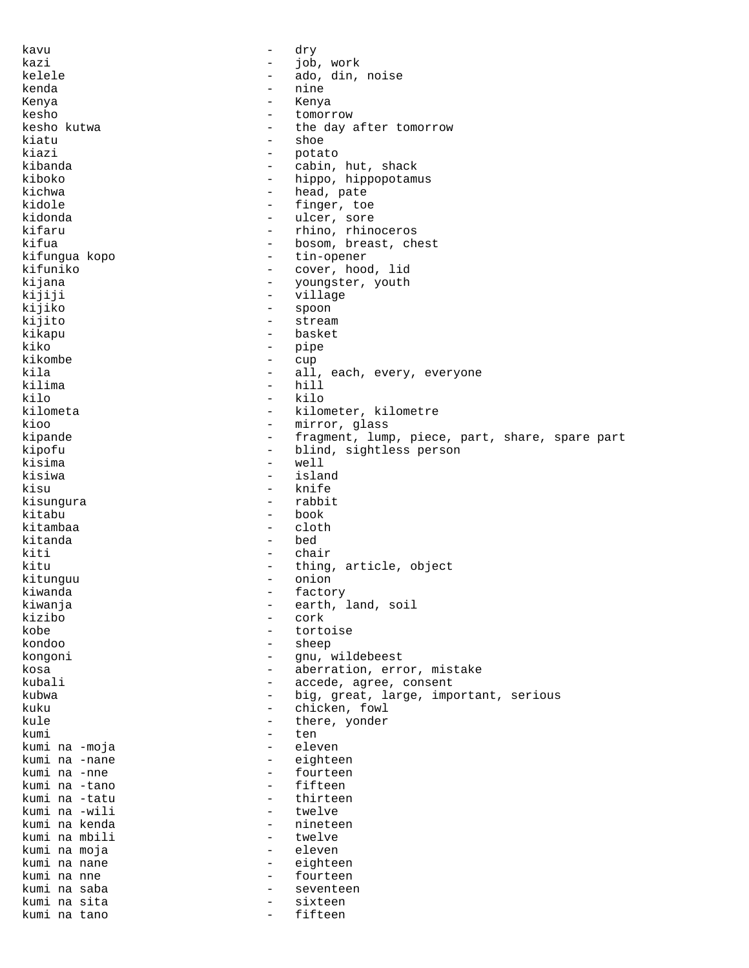kavu - dry kazi - job, work kelele - ado, din, noise kenda - nine Kenya - Kenya kesho - tomorrow kesho kutwa  $\begin{array}{ccc} - & \text{the day after tomorrow} \\ - & \text{shear} \end{array}$ kiatu - shoe<br>kiazi - shoe - shoe - potato<br>- cabin kibanda - cabin, hut, shack kiboko - hippo, hippopotamus<br>kichwa - head pate - head, pate kidole  $-$  finger, toe kidonda - ulcer, sore kifaru - rhino, rhinoceros kifua - bosom, breast, chest kifungua kopo - tin-openerar - tin-openerar kifuniko - cover, hood, lid kijana - youngster, youth<br>kijiji - - - - - - - - - - - village kijiji - village - village - village - village - village - village - village - village - village - village - village - village - village - village - village - village - village - village - village - village - village - vil - spoon<br>- strea kijito - stream kikapu - basket<br>kiko - basket kiko - pipe<br>kikombe - cup kikombe - cup kila - all, each, every, everyone<br> - all, each, every, everyone<br> - hill - hill kilo - kilo kilometa - kilometer, kilometre<br>kioo - mirror dass kioo - mirror, glass kipande - fragment, lump, piece, part, share, spare part kipofu - blind, sightless person<br>kisima - well - well kisima - well - island<br>- knife kisu - knife kisungura - rabbit kitabu - book kitambaa kitanda  $-$  bed kiti - chair kitu - thing, article, object kitunguu - onion kiwanda - factory - earth, land, soil kizibo - cork kobe - tortoise  $h = \text{sheep}$ kongoni - gnu, wildebeest kosa - aberration, error, mistake kubali  $\sim$  - accede, agree, consent kubwa  $-$  big, great, large, important, serious kuku - chicken, fowl kule  $\qquad \qquad -$  there, yonder kumi - ten kumi na -moja - eleven kumi na -nane - eighteen<br>kumi na -nne - - - - fourteen kumi na -nne - fourteen kumi na -tano - fifteen kumi na -tatu - thirteen kumi na -wili<br>kumi na kenda - nineteen<br>- twelve kumi na mbili - twelve kumi na moja - eleven kumi na nane  $-$  eighteen kumi na nne  $-$  fourteen kumi na saba  $-$  seventeen kumi na sita - sixteen kumi na tano - fifteen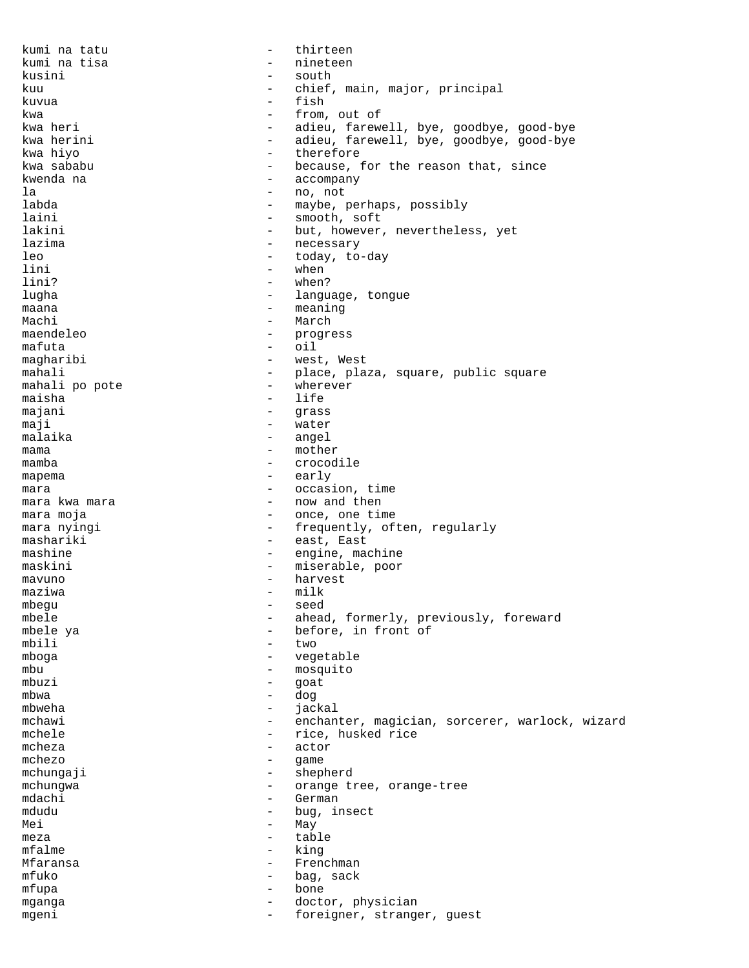kumi na tatu - thirteen kumi na tisa  $-$  nineteen kusini - south kuu  $-$  chief, main, major, principal kuvua - fish kwa  $\begin{array}{ccc} kwa & - & from, out of \end{array}$ kwa heri  $\begin{array}{ccc} - & - & adieu, farew \end{array}$ kwa heri - adieu, farewell, bye, goodbye, good-bye kwa herini - adieu, farewell, bye, goodbye, good-bye - therefore kwa sababu  $-$  because, for the reason that, since kwenda na  $-$  accompany la - no, not - no, not - no, not - no, not - no, not - no, not - no, not - no, not - no , not - no , not - no , not - no , not - no , not - no , not - no , not - no , not - no , not - no , not - no , not - no , not - no , - maybe, perhaps, possibly laini - smooth, soft lakini  $-$  but, however, nevertheless, yet lazima - necessary leo - today, to-day lini - when lini? - when?<br>
lughe - langu lugha  $-$  language, tongue maana - meaning - March maendeleo - progress<br>mafuta - progress  $mafuta$  -  $oil$ magharibi  $-$  west, West mahali - place, plaza, square, public square mahali po pote - wherever maisha - life majani - grass maji - water<br>malaika - angel malaika - angel mama - mother<br>mamba mamba - crocodile mapema - early mara  $-$  occasion, time mara kwa mara  $-$  now and then mara moja  $\sim$  - once, one time mara nyingi  $-$  frequently, often, regularly mashariki - east, East mashine - engine, machine<br>maskini - miserable, poor - miserable, poor mavuno - harvest  $max_{m}$   $\frac{1}{m}$ mbegu - seed mbele - ahead, formerly, previously, foreward mbele ya  $\begin{array}{ccc} - & \text{before, in front of} \\ - & \text{two} \end{array}$  $\text{mbil}$   $\text{two}$ mboga - vegetable mbu - mosquito<br>mbuzi - qoat - qoat mbuzi - goat mbwa - dog mbweha - jackal<br>mchawi - enchan mchawi - enchanter, magician, sorcerer, warlock, wizard mchele  $\qquad \qquad -$  rice, husked rice mcheza - actor<br>mchezo - ame - ame  $m$ chezo -  $m$ chungai mchungaji - shepherd mchungwa - orange tree, orange-tree<br>
mdachi - German - German mdudu - bug, insect  $\begin{array}{ccc}\n\text{Mei} & - & \text{May} \\
\text{max} & - & \text{tab}\n\end{array}$ meza - table mfalme - king Mfaransa - Frenchman mfuko  $-$  bag, sack mfupa - bone mganga  $\qquad \qquad -$  doctor, physician mgeni - foreigner, stranger, guest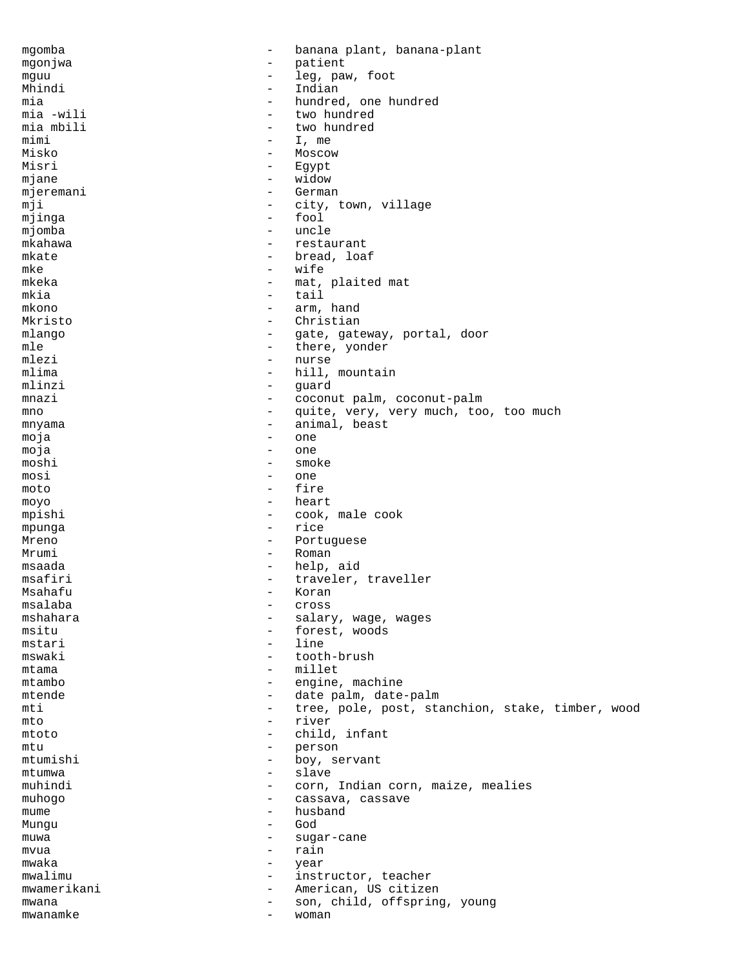mgomba - banana plant, banana-plant mgonjwa - patient<br>mguu - leg pat mguu - leg, paw, foot<br>Mhindi - Indian - Indian - Indian mia  $-$  hundred, one hundred mia  $-$  wili mia -wili - two hundred<br>mia mbili - two hundred mia mbili  $-$  two hundred mimi  $-$  T, me mimi - I, me<br>Misko - Moscov - Moscow Misri - Egypt mjane - widow mjeremani - German - German - Cerman - Cerman - City, 1 - city, town, village mjinga - fool mjomba - uncle mkahawa - restaurant mkate  $-$  bread, loaf mke - wife mkeka - mat, plaited mat<br>mkia - tail - tail mkia  $-\text{tail}$ mkono - arm, hand Christian mlango  $-$  gate, gateway, portal, door mle  $\begin{array}{ccc} \text{mle} & - & \text{there, yonder} \\ \text{mlezi} & - & \text{nurse} \end{array}$ mlezi – nurse<br>mlima – hill. mlima - hill, mountain<br>mlinzi - quard - quard - guard<br>- coconi mnazi - coconut palm, coconut-palm mno - quite, very, very much, too, too much mnyama - animal, beast moja - one moja - one moshi - smoke<br>mosi - one mosi - one  $moto$   $-$  fire moyo - heart mpishi - cook, male cook mpunga - rice Mreno - Portuguese Mrumi - Roman msaada - help, aid msafiri  $-$  traveler, traveller Msahafu - Koran - Koran - Koran - Koran - Koran - Koran - Koran - Koran - Koran - Koran - Koran - Koran - Koran - Koran - Koran - Koran - Koran - Koran - Koran - Koran - Koran - Koran - Koran - Koran - Koran - Koran - Kora msalaba - cross and the cross of the cross of the cross  $\sim$  mshahara - salary, wage, wages<br>msitu msitu - forest, woods<br>mstari - line<br>- line mstari - line - line - line - line - line - line - line - line - line - line - line - line - line - line - line - line - line - line - line - line - line - line - line - line - line - line - line - line - line - line - lin tooth-brush mtama - millet mtambo  $-$  engine, machine mtende  $\qquad \qquad -$  date palm, date-palm mti  $-$  tree, pole, post, stanchion, stake, timber, wood mto - river mtoto - child, infant mtu - person - boy, servant<br>- slave mtumwa - slave<br>muhindi - corn muhindi - corn, Indian corn, maize, mealies<br>muhogo muhogo  $-$  cassava, cassave mume  $\begin{array}{ccc} \hbox{mumen} & - & \hbox{husband} \\ \hbox{Muncu} & - & \hbox{God} \\ \hbox{Muncu} & - & \hbox{God} \end{array}$ Mungu - God muwa - sugar-cane mvua - rain mwaka - year mwalimu - instructor, teacher mwamerikani  $-$  American, US citizen mwana  $\qquad \qquad -$  son, child, offspring, young mwanamke - woman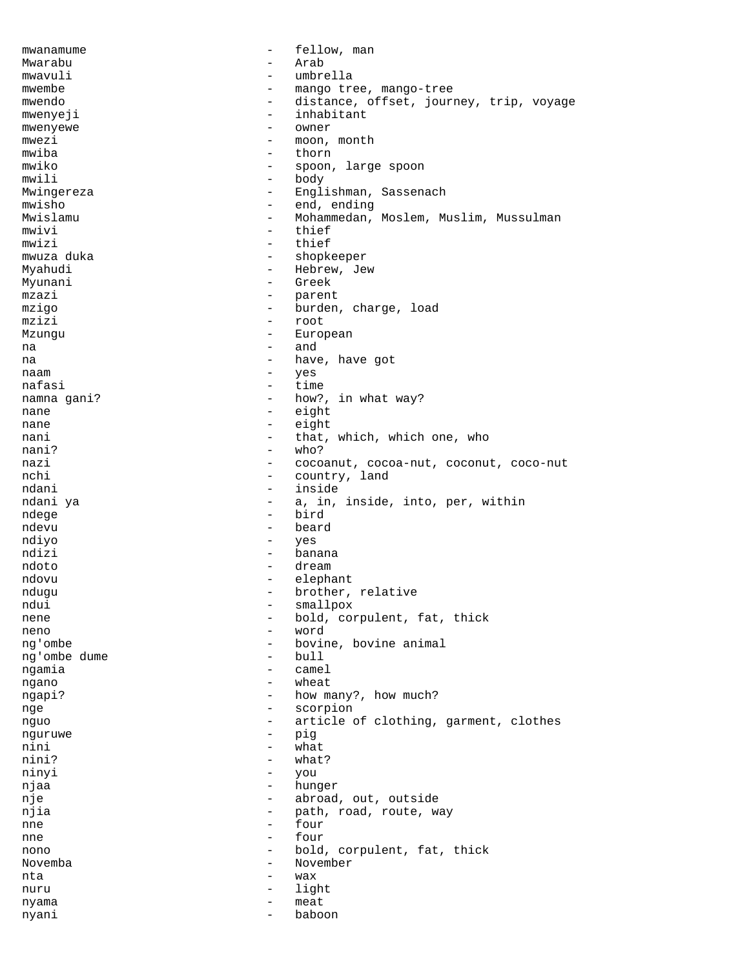mwanamume - fellow, man Mwarabu - Arab mwavuli - umbrella mwembe  $-$  mango tree, mango-tree mwendo - distance, offset, journey, trip, voyage mwenyeji - inhabitant<br>mwenyewe - Owner mwenyewe - owner mwezi – moon, month  $\frac{1}{2}$  – moon, month  $\frac{1}{2}$  – thorn - thorn<br>- spoon mwiko  $-$  spoon, large spoon mwili - body Mwingereza - Englishman, Sassenach mwisho - end, ending Mwislamu - Mohammedan, Moslem, Muslim, Mussulman mwivi - thief mwizi - thief - shopkeeper Myahudi - Hebrew, Jew<br>Myunani - Hebrew, Jew Myunani - Greek<br>mzazi - Carentari - Greek<br>- Darent mzazi  $-$  parent mzigo - burden, charge, load<br>mzizi - root - root - root Mzungu - European na - and na - have, have got naam - yes nafasi - time<br>namna gani? - time - how? namna gani?  $-$  how?, in what way? nane - eight nane - eight<br>nani - that - that nani - that, which, which one, who<br>
- who?<br>
- who? nani? - who? nazi - cocoanut, cocoa-nut, coconut, coco-nut country, land ndani - inside ndani ya  $-$  a, in, inside, into, per, within<br>ndege  $-$  bird ndege - bird<br>
ndewy - bear ndevu - beard ndiyo - yes ndizi - banana ndoto - dream ndovu - elephant ndugu - brother, relative<br>
- smallnox<br>
- smallnox ndui - smallpox<br>nene - bold.com nene - bold, corpulent, fat, thick<br>neno - word - word neno - word ng'ombe - bovine, bovine animal ng'ombe dume - bull<br>noamia - came ngamia - camel<br>ngano - wheat ngano - wheat ngapi? - how many?, how much? nge - scorpion nguo  $-$  article of clothing, garment, clothes nguruwe - pig<br>nini - what nini - what nini?  $-$  what?<br>ninvi  $-$  vou ninyi - you<br>niaa - hun njaa - hunger nje  $-$  abroad, out, outside njia  $-$  path, road, route, way nne - four - four - four - four - four - four - four - four - four - four - four - four - four - four - four - four - four - four - four - four - four - four - four - four - four - four - four - four - four - four - four nne - four nono - bold, corpulent, fat, thick Novemba - November nta - wax nuru - light nyama nyani - baboon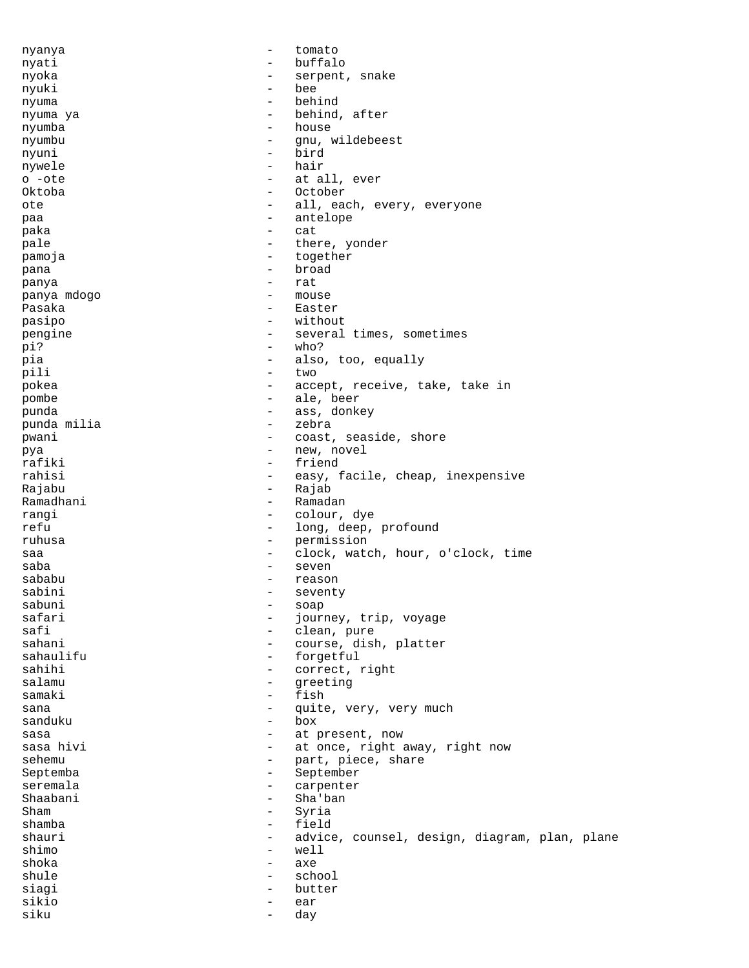| nyanya      | $\overline{\phantom{0}}$ | tomato                                        |
|-------------|--------------------------|-----------------------------------------------|
| nyati       | $\overline{\phantom{0}}$ | buffalo                                       |
| nyoka       | -                        | serpent, snake                                |
| nyuki       | $\overline{\phantom{0}}$ | bee                                           |
| nyuma       | $\qquad \qquad -$        | behind                                        |
| nyuma ya    | $\qquad \qquad -$        | behind, after                                 |
| nyumba      | $\qquad \qquad -$        | house                                         |
| nyumbu      | $\qquad \qquad -$        | qnu, wildebeest                               |
|             | $\overline{\phantom{0}}$ | bird                                          |
| nyuni       |                          |                                               |
| nywele      | $\qquad \qquad -$        | hair                                          |
| o -ote      | $\qquad \qquad -$        | at all, ever                                  |
| Oktoba      | $\qquad \qquad -$        | October                                       |
| ote         | $\qquad \qquad -$        | all, each, every, everyone                    |
| paa         | $\overline{\phantom{m}}$ | antelope                                      |
| paka        | $\qquad \qquad -$        | cat                                           |
| pale        | $\qquad \qquad -$        | there, yonder                                 |
| pamoja      | $\qquad \qquad -$        | together                                      |
| pana        | $\overline{\phantom{m}}$ | broad                                         |
|             | $\qquad \qquad -$        | rat                                           |
| panya       |                          |                                               |
| panya mdogo | $\overline{\phantom{0}}$ | mouse                                         |
| Pasaka      | $\qquad \qquad -$        | Easter                                        |
| pasipo      | $\overline{\phantom{m}}$ | without                                       |
| pengine     | $\overline{\phantom{m}}$ | several times, sometimes                      |
| pi?         | $\overline{\phantom{0}}$ | who?                                          |
| pia         | $\qquad \qquad -$        | also, too, equally                            |
| pili        | $\overline{\phantom{0}}$ | two                                           |
| pokea       | -                        | accept, receive, take, take in                |
| pombe       | $\qquad \qquad -$        | ale, beer                                     |
|             |                          |                                               |
| punda       | $\qquad \qquad -$        | ass, donkey                                   |
| punda milia | $\overline{\phantom{0}}$ | zebra                                         |
| pwani       | -                        | coast, seaside, shore                         |
| pya         | $\overline{\phantom{0}}$ | new, novel                                    |
| rafiki      | $\qquad \qquad -$        | friend                                        |
| rahisi      | $\overline{\phantom{0}}$ | easy, facile, cheap, inexpensive              |
| Rajabu      | -                        | Rajab                                         |
| Ramadhani   | $\qquad \qquad -$        | Ramadan                                       |
| rangi       | $\qquad \qquad -$        | colour, dye                                   |
| refu        | $\qquad \qquad -$        | long, deep, profound                          |
| ruhusa      | $\overline{\phantom{m}}$ | permission                                    |
|             |                          |                                               |
| saa         | $\overline{\phantom{m}}$ | clock, watch, hour, o'clock, time             |
| saba        | $\qquad \qquad -$        | seven                                         |
| sababu      | $\overline{\phantom{0}}$ | reason                                        |
| sabini      |                          | seventy                                       |
| sabuni      | -                        | soap                                          |
| safari      |                          | journey, trip, voyage                         |
| safi        | $\overline{\phantom{0}}$ | clean, pure                                   |
| sahani      | $\qquad \qquad -$        | course, dish, platter                         |
| sahaulifu   | -                        | forgetful                                     |
| sahihi      | $\qquad \qquad -$        | correct, right                                |
| salamu      | $\qquad \qquad -$        | greeting                                      |
|             | $\overline{\phantom{0}}$ | fish                                          |
| samaki      |                          |                                               |
| sana        | $\overline{\phantom{m}}$ | quite, very, very much                        |
| sanduku     | $\qquad \qquad -$        | box                                           |
| sasa        | $\overline{\phantom{0}}$ | at present, now                               |
| sasa hivi   | $\qquad \qquad -$        | at once, right away, right now                |
| sehemu      | $\qquad \qquad -$        | part, piece, share                            |
| Septemba    | -                        | September                                     |
| seremala    | $\qquad \qquad -$        | carpenter                                     |
| Shaabani    | $\qquad \qquad -$        | Sha'ban                                       |
| Sham        | $\qquad \qquad -$        | Syria                                         |
| shamba      | $\qquad \qquad -$        | field                                         |
| shauri      | $\qquad \qquad -$        | advice, counsel, design, diagram, plan, plane |
| shimo       |                          | well                                          |
|             | $\qquad \qquad -$        |                                               |
| shoka       | $\overline{\phantom{m}}$ | axe                                           |
| shule       | $\qquad \qquad -$        | school                                        |
| siagi       | $\qquad \qquad -$        | butter                                        |
| sikio       | $\overline{\phantom{a}}$ | ear                                           |
| siku        | $\overline{\phantom{a}}$ | day                                           |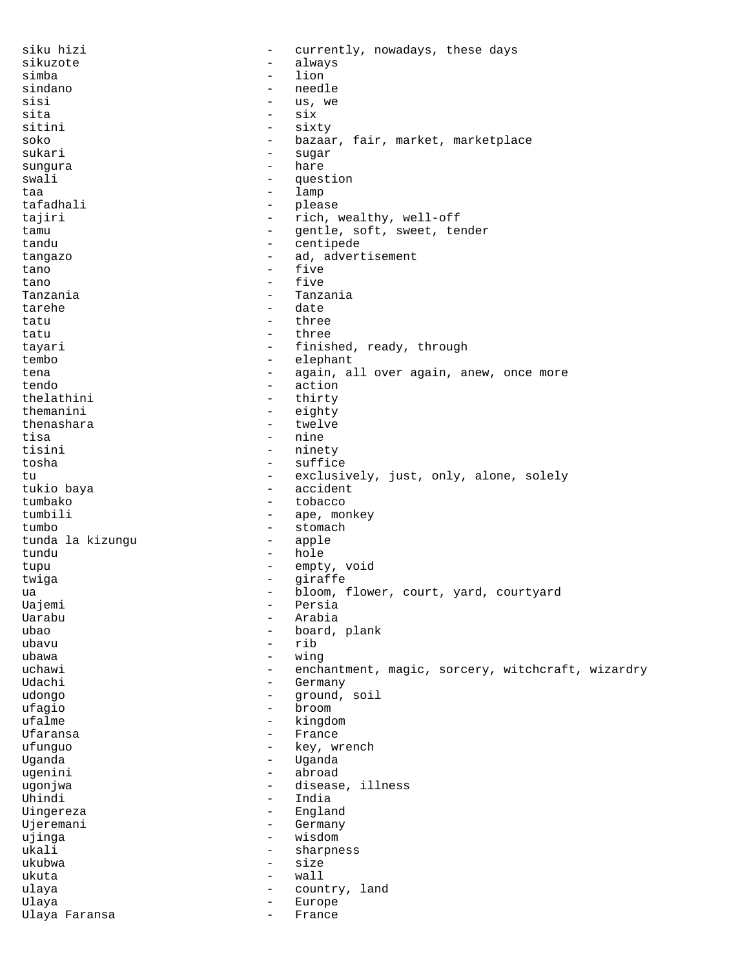| siku hizi           | $\qquad \qquad -$               | currently, nowadays, these days                   |
|---------------------|---------------------------------|---------------------------------------------------|
| sikuzote            | $\qquad \qquad -$               | always                                            |
| simba               | $\overline{\phantom{0}}$        | lion                                              |
| sindano             | $\overline{\phantom{0}}$        | needle                                            |
| sisi                | $\qquad \qquad -$               | us, we                                            |
| sita                | $\overline{\phantom{a}}$        | six                                               |
| sitini              | $\overline{\phantom{m}}$        | sixty                                             |
| soko                | -                               | bazaar, fair, market, marketplace                 |
| sukari              | $\overline{\phantom{0}}$        | suqar                                             |
| sungura             | -                               | hare                                              |
| swali               | $\overline{\phantom{m}}$        | question                                          |
| taa                 | $\qquad \qquad -$               | lamp                                              |
| tafadhali<br>tajiri | $-$<br>$\overline{\phantom{a}}$ | please<br>rich, wealthy, well-off                 |
| tamu                | $-$                             | gentle, soft, sweet, tender                       |
| tandu               | $\qquad \qquad -$               | centipede                                         |
| tangazo             | $\qquad \qquad -$               | ad, advertisement                                 |
| tano                | $\qquad \qquad -$               | five                                              |
| tano                | $\overline{\phantom{m}}$        | five                                              |
| Tanzania            | $\overline{\phantom{0}}$        | Tanzania                                          |
| tarehe              | $\overline{\phantom{0}}$        | date                                              |
| tatu                | $\overline{\phantom{a}}$        | three                                             |
| tatu                | $\overline{\phantom{a}}$        | three                                             |
| tayari              | $\overline{\phantom{a}}$        | finished, ready, through                          |
| tembo               | $\overline{\phantom{0}}$        | elephant                                          |
| tena                | $\qquad \qquad -$               | again, all over again, anew, once more            |
| tendo               | $\overline{\phantom{m}}$        | action                                            |
| thelathini          | $\overline{\phantom{a}}$        | thirty                                            |
| themanini           | $\qquad \qquad -$               | eighty                                            |
| thenashara          | $\overline{\phantom{0}}$        | twelve                                            |
| tisa                | $\overline{\phantom{m}}$        | nine                                              |
| tisini              | $\overline{\phantom{a}}$        | ninety                                            |
| tosha               | $\overline{\phantom{0}}$        | suffice                                           |
| tu                  | -                               | exclusively, just, only, alone, solely            |
| tukio baya          | $\qquad \qquad -$               | accident                                          |
| tumbako             | $\qquad \qquad -$               | tobacco                                           |
| tumbili             | $\qquad \qquad -$               | ape, monkey                                       |
| tumbo               | $\overline{\phantom{0}}$        | stomach                                           |
| tunda la kizungu    | $\overline{\phantom{m}}$        | apple                                             |
| tundu               | $\overline{\phantom{a}}$        | hole                                              |
| tupu                | $\overline{\phantom{m}}$        | empty, void                                       |
| twiga               | $\overline{\phantom{a}}$        | giraffe                                           |
| ua                  |                                 | bloom, flower, court, yard, courtyard             |
| Uajemi              | -                               | Persia                                            |
| Uarabu              | $\qquad \qquad -$               | Arabia                                            |
| ubao                |                                 | board, plank                                      |
| ubavu               | $\qquad \qquad -$               | rib                                               |
| ubawa               | $\qquad \qquad -$               | wing                                              |
| uchawi              | -                               | enchantment, magic, sorcery, witchcraft, wizardry |
| Udachi              | -                               | Germany                                           |
| udongo              | $\qquad \qquad -$               | ground, soil                                      |
| ufagio              | $\overline{\phantom{0}}$        | broom                                             |
| ufalme              | $\qquad \qquad -$               | kingdom                                           |
| Ufaransa            | -                               | France                                            |
| ufunguo             | $\qquad \qquad -$               | key, wrench                                       |
| Uganda<br>ugenini   | $\qquad \qquad -$               | Uganda<br>abroad                                  |
| ugonjwa             | -                               | disease, illness                                  |
| Uhindi              | $\overline{\phantom{0}}$        | India                                             |
| Uingereza           | -                               | England                                           |
| Ujeremani           | $\overline{\phantom{0}}$        | Germany                                           |
| ujinga              | $\qquad \qquad -$               | wisdom                                            |
| ukali               | -                               | sharpness                                         |
| ukubwa              | $\qquad \qquad -$               | size                                              |
| ukuta               | $\overline{\phantom{0}}$        | wall                                              |
| ulaya               | -                               | country, land                                     |
| Ulaya               | $\overline{\phantom{0}}$        | Europe                                            |
| Ulaya Faransa       | -                               | France                                            |
|                     |                                 |                                                   |